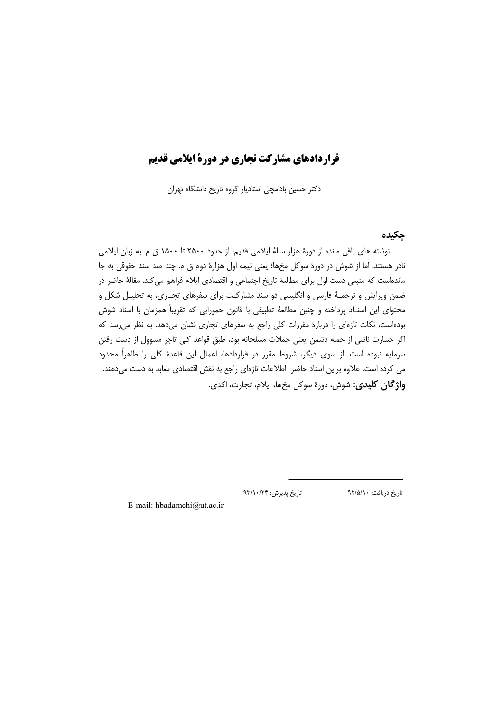## قراردادهای مشارکت تجاری در دورة ایلامی قدیم

دکتر حسین بادامچی استادیار گروه تاریخ دانشگاه تهران

### ڃکيده

نوشته های باقی مانده از دورهٔ هزار سالهٔ ایلامی قدیم، از حدود ۲۵۰۰ تا ۱۵۰۰ ق م. به زبان ایلامی نادر هستند، اما از شوش در دورهٔ سوکل مخها؛ یعنی نیمه اول هزارهٔ دوم ق م. چند صد سند حقوقی به جا ماندهاست که منبعی دست اول برای مطالعهٔ تاریخ اجتماعی و اقتصادی ایلام فراهم می کند. مقالهٔ حاضر در ضمن ویرایش و ترجمـهٔ فارسی و انگلیسی دو سند مشارکـت برای سفرهای تجـاری، به تحلیـل شکل و محتواي اين اسنــاد پرداخته و چنين مطالعهٔ تطبيقي با قانون حمورابي كه تقريباً همزمان با اسناد شوش بودهاست، نکات تازهای را دربارهٔ مقررات کلی راجع به سفرهای تجاری نشان میدهد. به نظر می رسد که اگر خسارت ناشی از حملهٔ دشمن یعنی حملات مسلحانه بود، طبق قواعد کلی تاجر مسوول از دست رفتن سرمایه نبوده است. از سوی دیگر، شروط مقرر در قراردادها، اعمال این قاعدهٔ کلی را ظاهراً محدود می کرده است. علاوه براین اسناد حاضر اطلاعات تازهای راجع به نقش اقتصادی معابد به دست میدهند. و**اژ گان کلیدی:** شوش، دورهٔ سوکل مخها، ایلام، تجارت، اکدی.

تاريخ پذيرش: ۹۳/۱۰/۲۴

تاريخ دريافت: ٩٢/۵/١٠

E-mail: hbadamchi@ut.ac.ir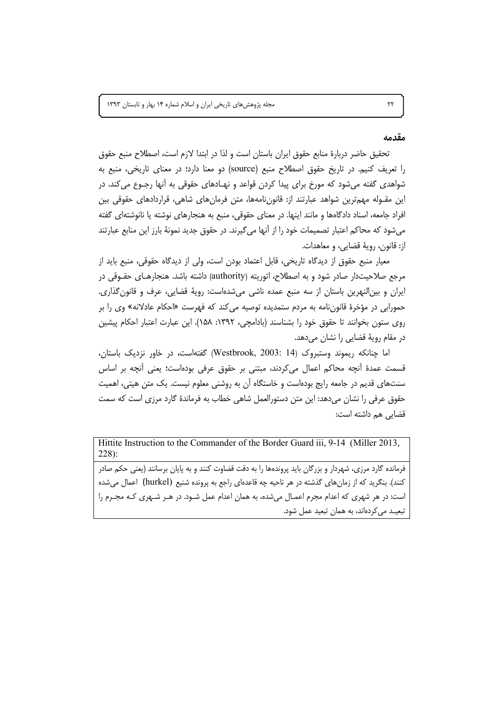مجله پژوهشهای تاریخی ایران و اسلام شماره ١۴ بهار و تابستان ١٣٩٣

#### مقدمه

تحقيق حاضر دربارة منابع حقوق ايران باستان است و لذا در ابتدا لازم است، اصطلاح منبع حقوق را تعریف کنیم. در تاریخ حقوق اصطلاح منبع (source) دو معنا دارد؛ در معنای تاریخی، منبع به شواهدی گفته میشود که مورخ برای پیدا کردن قواعد و نهـادهای حقوقی به آنها رجــوع میکند. در این مقـوله مهمترین شواهد عبارتند از: قانونiامهها، متن فرمانهای شاهی، قراردادهای حقوقی بین افراد جامعه، اسناد دادگاهها و مانند اینها. در معنای حقوقی، منبع به هنجارهای نوشته یا نانوشتهای گفته میشود که محاکم اعتبار تصمیمات خود را از آنها میگیرند. در حقوق جدید نمونهٔ بارز این منابع عبارتند از: قانون، رويهٔ قضايي، و معاهدات.

معيار منبع حقوق از ديدگاه تاريخي، قابل اعتماد بودن است، ولي از ديدگاه حقوقي، منبع بايد از مرجع صلاحیتدار صادر شود و به اصطلاح، اتوریته (authority) داشته باشد. هنجارهـای حقـوقی در ایران و بین النهرین باستان از سه منبع عمده ناشی میشدهاست: رویهٔ قضایی، عرف و قانون گذاری. حمورابی در مؤخرهٔ قانونiامه به مردم ستمدیده توصیه میکند که فهرست «احکام عادلانه» وی را بر روى ستون بخوانند تا حقوق خود را بشناسند (بادامچى، ١٣٩٢: ١۵٨). اين عبارت اعتبار احكام ييشين در مقام روية قضايي را نشان مىدهد.

اما چنانکه ریموند وستبروک (Westbrook, 2003: 14) گفتهاست، در خاور نزدیک باستان، قسمت عمدهٔ أنچه محاکم اعمال میکردند، مبتنی بر حقوق عرفی بودهاست؛ یعنی أنچه بر اساس سنتهای قدیم در جامعه رایج بودهاست و خاستگاه آن به روشنی معلوم نیست. یک متن هیتی، اهمیت حقوق عرفی را نشان میدهد: این متن دستورالعمل شاهی خطاب به فرماندهٔ گارد مرزی است که سمت قضایی هم داشته است:

Hittite Instruction to the Commander of the Border Guard iii, 9-14 (Miller 2013,  $228$ :

فرمانده گارد مرزی، شهردار و بزرگان باید پروندهها را به دقت قضاوت کنند و به پایان برسانند (یعنی حکم صادر کنند). بنگرید که از زمانهای گذشته در هر ناحیه چه قاعدهای راجع به پرونده شنیع (hurkel) اعمال میشده است: در هر شهری که اعدام مجرم اعمـال میشده، به همان اعدام عمل شـود. در هـر شـهری کـه مجـرم را تبعیـد میکردهاند، به همان تبعید عمل شود.

 $\tau\tau$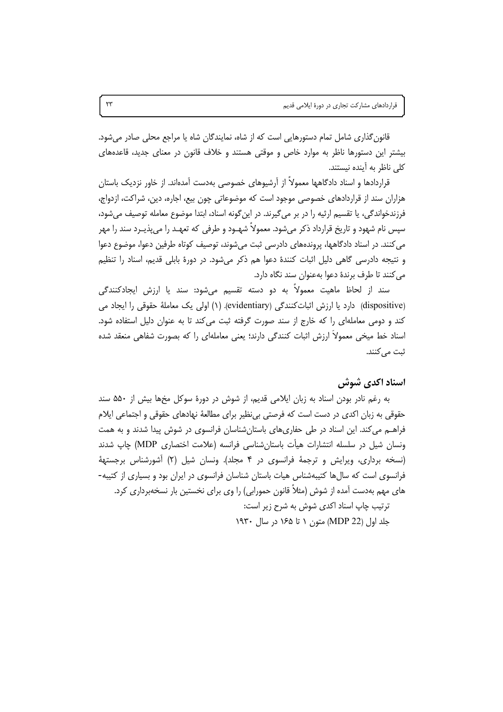قانون گذاری شامل تمام دستورهایی است که از شاه، نمایندگان شاه یا مراجع محلی صادر می شود. بیشتر این دستورها ناظر به موارد خاص و موقتی هستند و خلاف قانون در معنای جدید، قاعدههای كلى ناظر به أينده نيستند.

قراردادها و اسناد دادگاهها معمولاً از آرشیوهای خصوصی بهدست آمدهاند. از خاور نزدیک باستان هزاران سند از قراردادهای خصوصی موجود است که موضوعاتی چون بیع، اجاره، دین، شراکت، ازدواج، فرزندخواندگی، یا تقسیم ارثیه را در بر میگیرند. در اینگونه اسناد، ابتدا موضوع معامله توصیف میشود، سپس نام شهود و تاریخ قرارداد ذکر می شود. معمولاً شهـود و طرفی که تعهـد را می پذیـرد سند را مهر می کنند. در اسناد دادگاهها، پروندههای دادرسی ثبت می شوند، توصیف کوتاه طرفین دعوا، موضوع دعوا و نتیجه دادرسی گاهی دلیل اثبات کنندهٔ دعوا هم ذکر میشود. در دورهٔ بابلی قدیم، اسناد را تنظیم می کنند تا طرف برندهٔ دعوا بهعنوان سند نگاه دارد.

سند از لحاظ ماهیت معمولاً به دو دسته تقسیم میشود: سند یا ارزش ایجادکنندگی (dispositive) دارد یا ارزش اثباتکنندگی (evidentiary). (۱) اولی یک معاملهٔ حقوقی را ایجاد می کند و دومی معاملهای را که خارج از سند صورت گرفته ثبت می کند تا به عنوان دلیل استفاده شود. اسناد خط میخی معمولاً ارزش اثبات کنندگی دارند؛ یعنی معاملهای را که بصورت شفاهی منعقد شده ثبت مے کنند.

اسناد اکدی شوش

به رغم نادر بودن اسناد به زبان ایلامی قدیم، از شوش در دورهٔ سوکل مخها بیش از ۵۵۰ سند حقوقی به زبان اکدی در دست است که فرصتی بی نظیر برای مطالعهٔ نهادهای حقوقی و اجتماعی ایلام فراهــم می کند. این اسناد در طی حفاریِهای باستانِشناسان فرانسوی در شوش پیدا شدند و به همت ونسان شیل در سلسله انتشارات هیأت باستانشناسی فرانسه (علامت اختصاری MDP) چاپ شدند (نسخه برداری، ویرایش و ترجمهٔ فرانسوی در ۴ مجلد). ونسان شیل (۲) آشورشناس برجستههٔ فرانسوی است که سالها کتیبهشناس هیات باستان شناسان فرانسوی در ایران بود و بسیاری از کتیبه-های مهم بهدست آمده از شوش (مثلاً قانون حمورابی) را وی برای نخستین بار نسخهبرداری کرد. ترتیب چاپ اسناد اکدی شوش به شرح زیر است: جلد اول (MDP 22) متون ۱ تا ۱۶۵ در سال ۱۹۳۰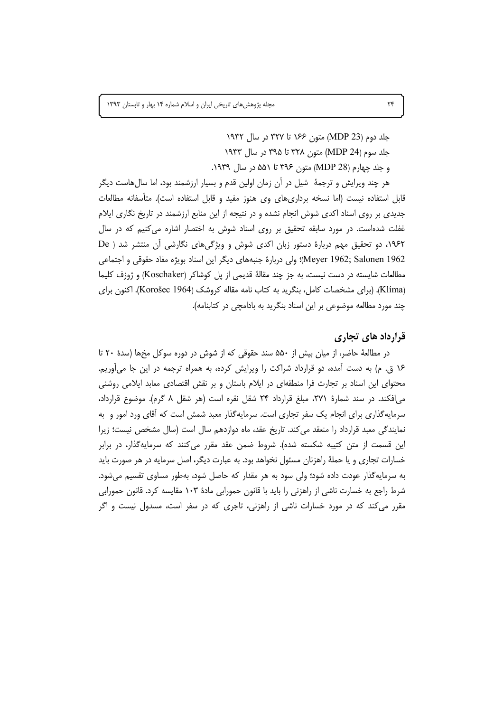جلد دوم (MDP 23) متون ۱۶۶ تا ۳۲۷ در سال ۱۹۳۲ جلد سوم (MDP 24) متون ۳۲۸ تا ۳۹۵ در سال ۱۹۳۳ و جلد چهارم (28 MDP) متون ۳۹۶ تا ۵۵۱ در سال ۱۹۳۹.

هر چند ویرایش و ترجمهٔ ً شیل در آن زمان اولین قدم و بسیار ارزشمند بود، اما سالهاست دیگر قابل استفاده نیست (اما نسخه برداریِهای وی هنوز مفید و قابل استفاده است). متأسفانه مطالعات جدیدی بر روی اسناد اکدی شوش انجام نشده و در نتیجه از این منابع ارزشمند در تاریخ نگاری ایلام غفلت شدهاست. در مورد سابقه تحقیق بر روی اسناد شوش به اختصار اشاره میکنیم که در سال ۱۹۶۲، دو تحقیق مهم دربارهٔ دستور زبان اکدی شوش و ویژگیهای نگارشی آن منتشر شد ( De Meyer 1962; Salonen 1962)؛ ولي دربارة جنبههاي ديگر اين اسناد بويژه مفاد حقوقي و اجتماعي مطالعات شایسته در دست نیست، به جز چند مقالهٔ قدیمی از پل کوشاکر (Koschaker) و ژوزف کلیما (Klíma). (برای مشخصات کامل، بنگرید به کتاب نامه مقاله کروشک (Korošec 1964). اکنون برای چند مورد مطالعه موضوعی بر این اسناد بنگرید به بادامچی در کتابنامه).

### قرارداد های تجاری

در مطالعهٔ حاضر، از میان بیش از ۵۵۰ سند حقوقی که از شوش در دوره سوکل مخها (سدهٔ ۲۰ تا ۱۶ ق. م) به دست آمده، دو قرارداد شراکت را ویرایش کرده، به همراه ترجمه در این جا میآوریم. محتوای این اسناد بر تجارت فرا منطقهای در ایلام باستان و بر نقش اقتصادی معابد ایلامی روشنی می|فکند. در سند شمارهٔ ۲۷۱، مبلغ قرارداد ۲۴ شقل نقره است (هر شقل ۸ گرم). موضوع قرارداد، سرمایه گذاری برای انجام یک سفر تجاری است. سرمایه گذار معبد شمش است که آقای ورد امور و به نمایندگی معبد قرارداد را منعقد می کند. تاریخ عقد، ماه دوازدهم سال است (سال مشخص نیست؛ زیرا این قسمت از متن کتیبه شکسته شده). شروط ضمن عقد مقرر میکنند که سرمایهگذار، در برابر خسارات تجاری و یا حملهٔ راهزنان مسئول نخواهد بود. به عبارت دیگر، اصل سرمایه در هر صورت باید به سرمایهگذار عودت داده شود؛ ولی سود به هر مقدار که حاصل شود، بهطور مساوی تقسیم میشود. شرط راجع به خسارت ناشی از راهزنی را باید با قانون حمورابی مادهٔ ۱۰۳ مقایسه کرد. قانون حمورابی مقرر می کند که در مورد خسارات ناشی از راهزنی، تاجری که در سفر است، مسدول نیست و اگر

 $\mathsf{Y}^e$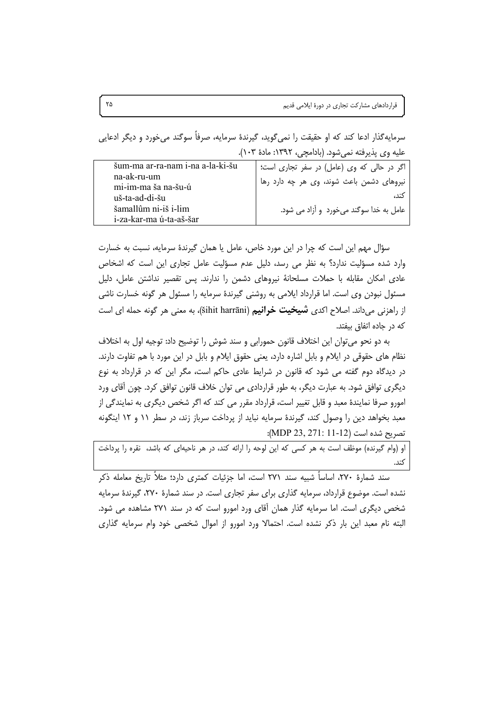سرمایه گذار ادعا کند که او حقیقت را نمی گوید، گیرندهٔ سرمایه، صرفاً سوگند می خورد و دیگر ادعایی عليه وي يذيرفته نمي شود. (بادامچي، ١٣٩٢: مادة ١٠٣).

| šum-ma ar-ra-nam i-na a-la-ki-šu<br>na-ak-ru-um<br>mi-im-ma ša na-šu-ú | اگر در حالی که وی (عامل) در سفر تجاری است؛<br>نیروهای دشمن باعث شوند، وی هر چه دارد رها |
|------------------------------------------------------------------------|-----------------------------------------------------------------------------------------|
| uš-ta-ad-di-šu                                                         |                                                                                         |
| šamallûm ni-iš i-lim<br>i-za-kar-ma ú-ta-aš-šar                        | عامل به خدا سوگند میخورد و آزاد می شود.                                                 |

سؤال مهم این است که چرا در این مورد خاص، عامل یا همان گیرندهٔ سرمایه، نسبت به خسارت وارد شده مسؤلیت ندارد؟ به نظر می رسد، دلیل عدم مسؤلیت عامل تجاری این است که اشخاص عادی امکان مقابله با حملات مسلحانهٔ نیروهای دشمن را ندارند. پس تقصیر نداشتن عامل، دلیل مسئول نبودن وی است. اما قرارداد ایلامی به روشنی گیرندهٔ سرمایه را مسئول هر گونه خسارت ناشی از راهزنی می داند. اصلاح اکدی **شیخیت خرانیم (**šihit harrāni)، به معنی هر گونه حمله ای است که در جاده اتفاق بیفتد.

به دو نحو می توان این اختلاف قانون حمورابی و سند شوش را توضیح داد: توجیه اول به اختلاف نظام های حقوقی در ایلام و بابل اشاره دارد، یعنی حقوق ایلام و بابل در این مورد با هم تفاوت دارند. در دیدگاه دوم گفته می شود که قانون در شرایط عادی حاکم است، مگر این که در قرارداد به نوع دیگری توافق شود. به عبارت دیگر، به طور قراردادی می توان خلاف قانون توافق کرد. چون آقای ورد امورو صرفا نمایندهٔ معبد و قابل تغییر است، قرارداد مقرر می کند که اگر شخص دیگری به نمایندگی از معبد بخواهد دین را وصول کند، گیرندهٔ سرمایه نباید از پرداخت سرباز زند، در سطر ۱۱ و ۱۲ اینگونه تصريح شده است (MDP 23, 271: 11-12):

او (وام گیرنده) موظف است به هر کسی که این لوحه را ارائه کند، در هر ناحیهای که باشد، نقره را پرداخت كند.

سند شمارهٔ ۲۷۰، اساساً شبیه سند ۲۷۱ است، اما جزئیات کمتری دارد؛ مثلاً تاریخ معامله ذکر نشده است. موضوع قرارداد، سرمایه گذاری برای سفر تجاری است. در سند شمارهٔ ۲۷۰، گیرندهٔ سرمایه شخص دیگری است. اما سرمایه گذار همان آقای ورد امورو است که در سند ۲۷۱ مشاهده می شود. البته نام معبد این بار ذکر نشده است. احتمالا ورد امورو از اموال شخصی خود وام سرمایه گذاری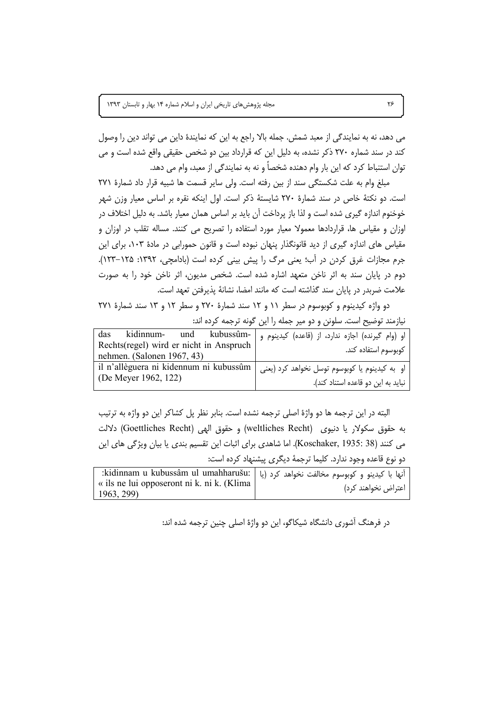می دهد، نه به نمایندگی از معبد شمش. جمله بالا راجع به این که نمایندهٔ داین می تواند دین را وصول کند در سند شماره ۲۷۰ ذکر نشده، به دلیل این که قرارداد بین دو شخص حقیقی واقع شده است و می توان استنباط کرد که این بار وام دهنده شخصاً و نه به نمایندگی از معبد، وام می دهد.

مبلغ وام به علت شكستگى سند از بين رفته است. ولى ساير قسمت ها شبيه قرار داد شمارة ٢٧١ است. دو نکتهٔ خاص در سند شمارهٔ ۲۷۰ شایستهٔ ذکر است. اول اینکه نقره بر اساس معیار وزن شهر خوخنوم اندازه گیری شده است و لذا باز پرداخت آن باید بر اساس همان معیار باشد. به دلیل اختلاف در اوزان و مقیاس ها، قراردادها معمولا معیار مورد استفاده را تصریح می کنند. مساله تقلب در اوزان و مقیاس های اندازه گیری از دید قانونگذار پنهان نبوده است و قانون حمورابی در مادهٔ ۱۰۳، برای این جرم مجازات غرق کردن در اّب؛ یعنی مرگ را پیش بینی کرده است (بادامچی، ۱۳۹۲: ۱۲۵–۱۲۳). دوم در پایان سند به اثر ناخن متعهد اشاره شده است. شخص مدیون، اثر ناخن خود را به صورت علامت ضربدر در پایان سند گذاشته است که مانند امضا، نشانهٔ پذیرفتن تعهد است.

دو واژه کیدینوم و کوبوسوم در سطر ۱۱ و ۱۲ سند شمارهٔ ۲۷۰ و سطر ۱۲ و ۱۳ سند شمارهٔ ۲۷۱ نیازمند توضیح است. سلونن و دو میر جمله را این گونه ترجمه کرده اند:

| das                                                                                                             | او (وام گیرنده) اجازه ندارد، از (قاعده) کیدینوم و   -kidinnum -   und    kubussûm |
|-----------------------------------------------------------------------------------------------------------------|-----------------------------------------------------------------------------------|
| Rechts(regel) wird er nicht in Anspruch<br>nehmen. (Salonen 1967, 43)                                           | كوبوسوم استفاده كند.                                                              |
| او به کیدینوم یا کوبوسوم توسل نخواهد کرد (یعنی   il n'allèguera ni kidennum ni kubussûm<br>(De Meyer 1962, 122) | نباید به این دو قاعده استناد کند).                                                |

البته در این ترجمه ها دو واژهٔ اصلی ترجمه نشده است. بنابر نظر پل کشاکر این دو واژه به ترتیب به حقوق سكولار يا دنيوى (weltliches Recht) وحقوق الهي (Goettliches Recht) دلالت می كنند (Koschaker, 1935: 38). اما شاهدی برای اثبات این تقسیم بندی یا بیان ویژگی های این دو نوع قاعده وجود ندارد. کلیما ترجمهٔ دیگری پیشنهاد کرده است:

| أنها با كيدينو و كوبوسوم مخالفت نخواهد كرد (يا   :kidinnam u kubussâm ul umahharušu: |                     |
|--------------------------------------------------------------------------------------|---------------------|
| « ils ne lui opposeront ni k. ni k. (Klima                                           | اعتراض نخواهند کرد) |
| 1963, 299)                                                                           |                     |

در فرهنگ آشوری دانشگاه شیکاگو، این دو واژهٔ اصلی چنین ترجمه شده اند: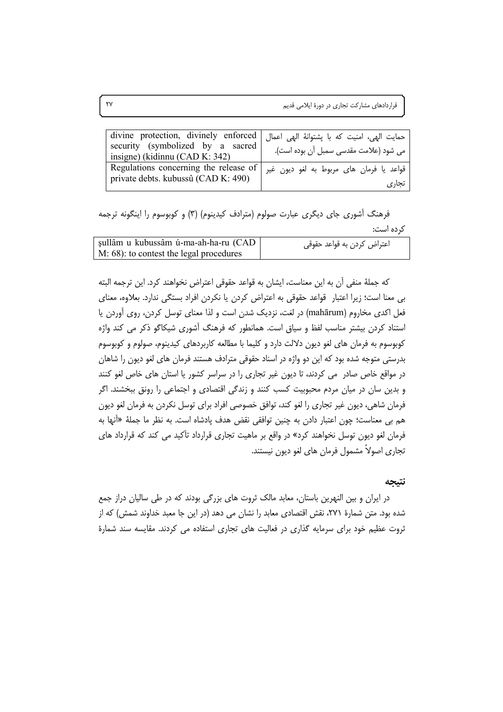| حمايت الهي، امنيت كه با پشتوانهٔ الهي اعمال divine protection, divinely enforced  <br>security (symbolized by a sacred<br>insigne) (kidinnu (CAD K: 342) | می شود (علامت مقدسی سمبل آن بوده است).            |
|----------------------------------------------------------------------------------------------------------------------------------------------------------|---------------------------------------------------|
| Regulations concerning the release of<br>private debts. kubussû (CAD K: 490)                                                                             | قواعد يا فرمان هاي مربوط به لغو ديون غير<br>تجارى |

فرهنگ آشوری جای دیگری عبارت صولوم (مترادف کیدینوم) (۳) و کوبوسوم را اینگونه ترجمه كرده است:

| sullâm u kubussâm ú-ma-ah-ha-ru (CAD    | اعتراض كردن به قواعد حقوقي |
|-----------------------------------------|----------------------------|
| M: 68): to contest the legal procedures |                            |

كه جملهٔ منفی آن به این معناست، ایشان به قواعد حقوقی اعتراض نخواهند كرد. این ترجمه البته بی معنا است؛ زیرا اعتبار قواعد حقوقی به اعتراض کردن یا نکردن افراد بستگی ندارد. بعلاوه، معنای فعل اکدی مخاروم (mahārum) در لغت، نزدیک شدن است و لذا معنای توسل کردن، روی آوردن یا استناد کردن بیشتر مناسب لفظ و سیاق است. همانطور که فرهنگ آشوری شیکاگو ذکر می کند واژه کوبوسوم به فرمان های لغو دیون دلالت دارد و کلیما با مطالعه کاربردهای کیدینوم، صولوم و کوبوسوم بدرستی متوجه شده بود که این دو واژه در اسناد حقوقی مترادف هستند فرمان های لغو دیون را شاهان در مواقع خاص صادر می کردند، تا دیون غیر تجاری را در سراسر کشور یا استان های خاص لغو کنند و بدین سان در میان مردم محبوبیت کسب کنند و زندگی اقتصادی و اجتماعی را رونق ببخشند. اگر فرمان شاهی، دیون غیر تجاری را لغو کند، توافق خصوصی افراد برای توسل نکردن به فرمان لغو دیون هم بي معناست؛ چون اعتبار دادن به چنين توافقي نقض هدف پادشاه است. به نظر ما جملهٔ «أنها به فرمان لغو دیون توسل نخواهند کرد» در واقع بر ماهیت تجاری قرارداد تأکید می کند که قرارداد های تجاري اصولاً مشمول فرمان هاي لغو ديون نيستند.

#### نتيجه

در ایران و بین النهرین باستان، معابد مالک ثروت های بزرگی بودند که در طی سالیان دراز جمع شده بود. متن شمارهٔ ۲۷۱، نقش اقتصادی معابد را نشان می دهد (در این جا معبد خداوند شمش) که از ثروت عظیم خود برای سرمایه گذاری در فعالیت های تجاری استفاده می کردند. مقایسه سند شمارهٔ

 $\mathsf{Y}\mathsf{Y}$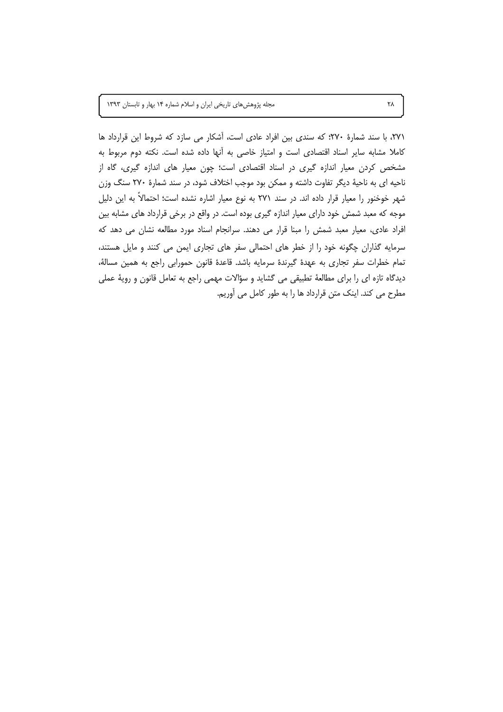مجله پژوهشهای تاریخی ایران و اسلام شماره ١۴ بهار و تابستان ١٣٩٣

٢٧١، با سند شمارهٔ ٢٧٠؛ كه سندى بين افراد عادى است، آشكار مى سازد كه شروط اين قرارداد ها كاملا مشابه ساير اسناد اقتصادى است و امتياز خاصى به آنها داده شده است. نكته دوم مربوط به مشخص کردن معیار اندازه گیری در اسناد اقتصادی است؛ چون معیار های اندازه گیری، گاه از ناحیه ای به ناحیهٔ دیگر تفاوت داشته و ممکن بود موجب اختلاف شود، در سند شمارهٔ ۲۷۰ سنگ وزن شهر خوخنور را معیار قرار داده اند. در سند ۲۷۱ به نوع معیار اشاره نشده است؛ احتمالاً به این دلیل موجه که معبد شمش خود دارای معیار اندازه گیری بوده است. در واقع در برخی قرارداد های مشابه بین افراد عادی، معیار معبد شمش را مبنا قرار می دهند. سرانجام اسناد مورد مطالعه نشان می دهد که سرمایه گذاران چگونه خود را از خطر های احتمالی سفر های تجاری ایمن می کنند و مایل هستند، تمام خطرات سفر تجاري به عهدة گيرندة سرمايه باشد. قاعدة قانون حمورابي راجع به همين مسالة، دیدگاه تازه ای را برای مطالعهٔ تطبیقی می گشاید و سؤالات مهمی راجع به تعامل قانون و رویهٔ عملی مطرح می کند. اینک متن قرارداد ها را به طور کامل می آوریم.

٢٨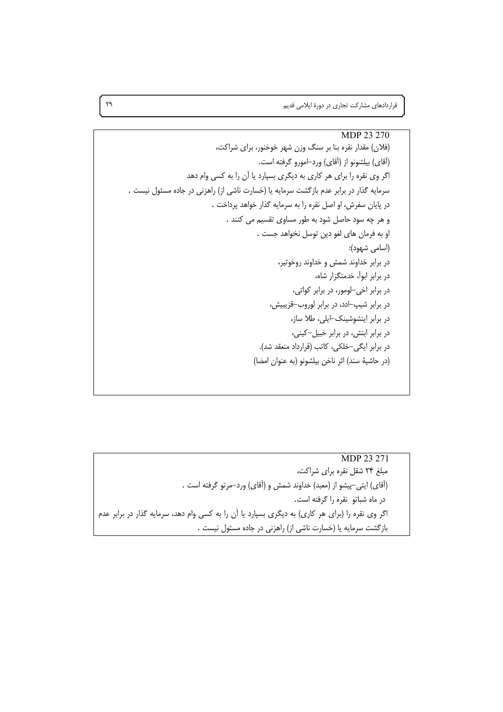قراردادهای مشارکت تجاری در دورهٔ ایلامی قدیم

MDP 23 271 مبلغ ۲۴ شقل نقره برای شراکت، (أقاي) ايتي–پيشو از (معبد) خداوند شمش و (أقاي) ورد–مرتو گرفته است . در ماه شباتو نقره را گرفته است. اگر وی نقره را (برای هر کاری) به دیگری بسپارد یا آن را به کسی وام دهد، سرمایه گذار در برابر عدم | بازگشت سرمایه یا (خسارت ناشی از) راهزنی در جاده مسئول نیست .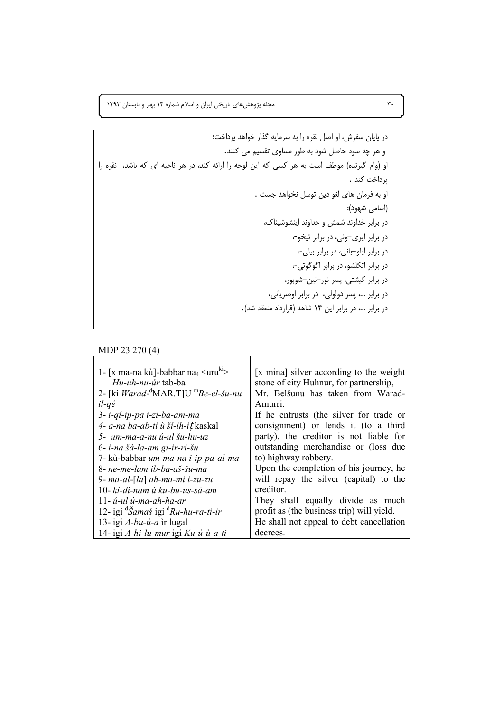۳۰ \* \* . 1۳۹۳ مجله پژوهش های تاریخی ایران و اسلام شماره ۱۴ بهار و تابستان ۱۳۹۳

9BLM "!L V ; 3< %4J -M  ."55 &; !S ! 3< ! = ; %"  %"5 à !) B YT! (" 0) . "5 BLM . B: "!\ 3!  !á) -> :(! ) %i5 ! 5 ""L K7 ""L  %-!\  %-  %-G  %-!G  %-!!  %! GE  %!! --! M % %<  %)!) M %...  .(" ";85 #) " 14  %... 

MDP 23 270 (4)

| 1- [x ma-na kù]-babbar na <sub>4</sub> $\langle$ uru <sup>k1</sup> > | [x mina] silver according to the weight   |
|----------------------------------------------------------------------|-------------------------------------------|
| <i>Hu-uh-nu-úr</i> tab-ba                                            | stone of city Huhnur, for partnership,    |
| 2- [ki <i>Warad</i> - $^d$ MAR.T]U $^m$ <i>Be-el-šu-nu</i>           | Mr. Belšunu has taken from Warad-         |
| $il$ -qé                                                             | Amurri.                                   |
| 3- i-qi-ip-pa i-zi-ba-am-ma                                          | If he entrusts (the silver for trade or   |
| 4- a-na ba-ab-ti ù ší-ih-it kaskal                                   | consignment) or lends it (to a third      |
| 5- um-ma-a-nu ú-ul šu-hu-uz                                          | party), the creditor is not liable for    |
| 6- i-na šà-la-am gi-ir-ri-šu                                         | outstanding merchandise or (loss due      |
| 7- kù-babbar um-ma-na i-ip-pa-al-ma                                  | to) highway robbery.                      |
| 8- ne-me-lam ib-ba-aš-šu-ma                                          | Upon the completion of his journey, he    |
| 9- ma-al-[la] ah-ma-mi i-zu-zu                                       | will repay the silver (capital) to the    |
| 10- ki-di-nam ù ku-bu-us-sà-am                                       | creditor.                                 |
| $11 - u - ul$ $u - ma - ah - ha - ar$                                | They shall equally divide as much         |
| 12- igi <sup>d</sup> Šamaš igi <sup>d</sup> Ru-hu-ra-ti-ir           | profit as (the business trip) will yield. |
| 13- igi A-bu-ú-a ìr lugal                                            | He shall not appeal to debt cancellation  |
| 14- igi A-hi-lu-mur igi Ku-ú-ù-a-ti                                  | decrees.                                  |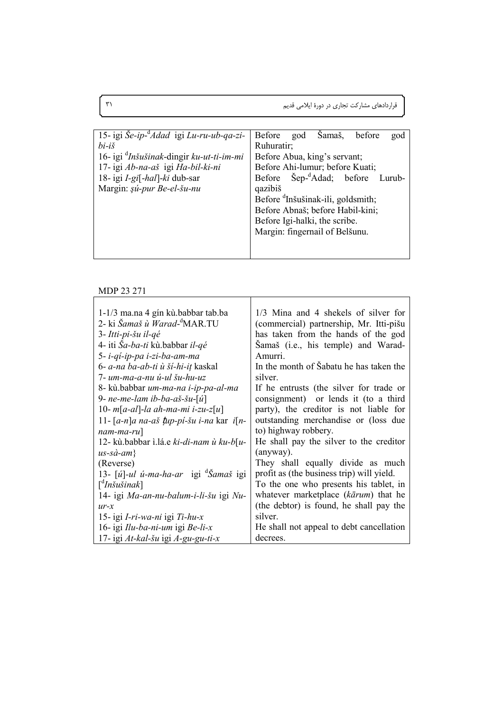|  | قراردادهای مشارکت تجاری در دورهٔ ایلامی قدیم |
|--|----------------------------------------------|
|--|----------------------------------------------|

| 15- igi Še-ip- <sup>a</sup> Adad igi Lu-ru-ub-qa-zi-                                 | Before<br>Samaš,<br>before<br>god<br>god      |  |  |  |
|--------------------------------------------------------------------------------------|-----------------------------------------------|--|--|--|
| $bi-i\check{s}$                                                                      | Ruhuratir;                                    |  |  |  |
| 16- igi <sup>d</sup> Inšušinak-dingir ku-ut-ti-im-mi<br>Before Abua, king's servant; |                                               |  |  |  |
| 17- igi Ab-na-aš igi Ha-bil-ki-ni                                                    | Before Ahi-lumur; before Kuati;               |  |  |  |
| 18- igi I-gi[-hal]-ki dub-sar                                                        | Before Šep- <sup>d</sup> Adad; before Lurub-  |  |  |  |
| Margin: şú-pur Be-el-šu-nu                                                           | qazibiš                                       |  |  |  |
|                                                                                      | Before <sup>d</sup> Inšušinak-ili, goldsmith; |  |  |  |
|                                                                                      | Before Abnaš; before Habil-kini;              |  |  |  |
|                                                                                      | Before Igi-halki, the scribe.                 |  |  |  |
|                                                                                      | Margin: fingernail of Belšunu.                |  |  |  |
|                                                                                      |                                               |  |  |  |
|                                                                                      |                                               |  |  |  |

#### MDP 23 271

| 1-1/3 ma.na 4 gín kù.babbar tab.ba                        | 1/3 Mina and 4 shekels of silver for      |
|-----------------------------------------------------------|-------------------------------------------|
| 2- ki Šamaš ù Warad- <sup>a</sup> MAR.TU                  | (commercial) partnership, Mr. Itti-pišu   |
| 3- Itti-pi-šu il-qé                                       | has taken from the hands of the god       |
| 4- iti Sa-ba-ti kù babbar il-qé                           | Šamaš (i.e., his temple) and Warad-       |
| 5- i-qi-ip-pa i-zi-ba-am-ma                               | Amurri.                                   |
| 6- a-na ba-ab-ti ù ší-hi-iț kaskal                        | In the month of Sabatu he has taken the   |
| 7- um-ma-a-nu ú-ul šu-hu-uz                               | silver.                                   |
| 8- kù.babbar um-ma-na i-ip-pa-al-ma                       | If he entrusts (the silver for trade or   |
| 9- ne-me-lam ib-ba-aš-šu- $\lceil u \rceil$               | consignment) or lends it (to a third      |
| 10- m[a-al]-la ah-ma-mi i-zu-z[u]                         | party), the creditor is not liable for    |
| 11- $[a-n]$ a na-aš tup-pi-šu i-na kar i $[n-$            | outstanding merchandise or (loss due      |
| $nam-ma-ru$ ]                                             | to) highway robbery.                      |
| 12- kù.babbar ì.lá.e ki-di-nam ù ku-b[u-                  | He shall pay the silver to the creditor   |
| $us$ -sà-am}                                              | (anyway).                                 |
| (Reverse)                                                 | They shall equally divide as much         |
| 13- [ <i>ú</i> ]-ul ú-ma-ha-ar igi <sup>a</sup> Samaš igi | profit as (the business trip) will yield. |
| $\int^d In\check{s}u\check{s}inak$                        | To the one who presents his tablet, in    |
| 14- igi Ma-an-nu-balum-i-li-šu igi Nu-                    | whatever marketplace (kārum) that he      |
| $ur-x$                                                    | (the debtor) is found, he shall pay the   |
| 15- igi I-ri-wa-ni igi Ti-hu-x                            | silver.                                   |
| 16- igi Ilu-ba-ni-um igi Be-li-x                          | He shall not appeal to debt cancellation  |
| 17- igi At-kal-šu igi A-gu-gu-ti-x                        | decrees.                                  |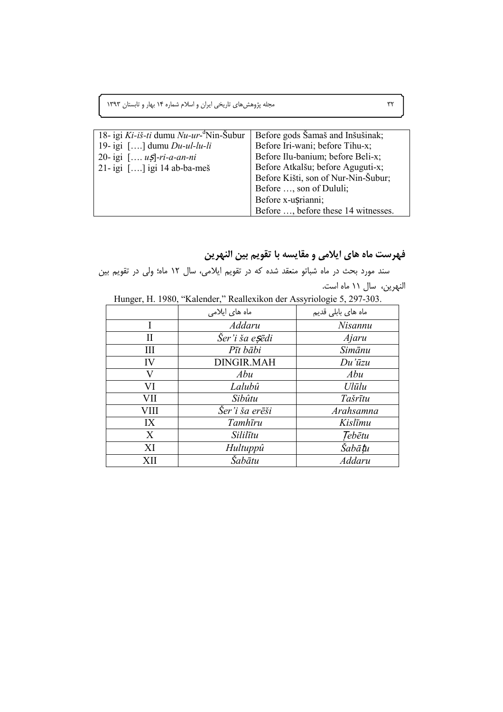مجله پژوهشهای تاریخی ایران و اسلام شماره ۱۴ بهار و تابستان ۱۳۹۳

| 18- igi Ki-iš-ti dumu Nu-ur- <sup>a</sup> Nin-Šubur | Before gods Šamaš and Inšušinak;    |
|-----------------------------------------------------|-------------------------------------|
| 19-igi $[\,]$ dumu $Du$ -ul-lu-li                   | Before Iri-wani; before Tihu-x;     |
| 20- igi $[\, u \xi]$ -ri-a-an-ni                    | Before Ilu-banium; before Beli-x;   |
| 21-igi $[\,]$ igi 14 ab-ba-meš                      | Before Atkalšu; before Aguguti-x;   |
|                                                     | Before Kišti, son of Nur-Nin-Šubur; |
|                                                     | Before , son of Dululi;             |
|                                                     | Before x-usrianni;                  |
|                                                     | Before , before these 14 witnesses. |

# فهرست ماه های ایلامی و مقایسه با تقویم بین النهرین

سند مورد بحث در ماه شباتو منعقد شده که در تقویم ایلامی، سال ۱۲ ماه؛ ولی در تقویم بین النهرين، سال ١١ ماه است.

|  | Hunger, H. 1980, "Kalender," Reallexikon der Assyriologie 5, 297-303. |  |
|--|-----------------------------------------------------------------------|--|
|  |                                                                       |  |

|      | ماہ های ایلامی          | ماه های بابلی قدیم |
|------|-------------------------|--------------------|
|      | Addaru                  | Nisannu            |
| Н    | Šer'i ša e <b>s</b> ēdi | Ajaru              |
| Ш    | Pīt bābi                | Simānu             |
| IV   | <b>DINGIR.MAH</b>       | $Du'$ ūzu          |
| V    | Abu                     | Abu                |
| VI   | Lalubû                  | Ulūlu              |
| VІІ  | Sibûtu                  | Tašrītu            |
| VIII | Šer'i ša erēši          | Arahsamna          |
| IX   | Tamhīru                 | Kislīmu            |
| X    | Sililītu                | Tebētu             |
| XI   | Hultuppû                | Šabātu             |
| XII  | Šabātu                  | Addaru             |

 $\tau\tau$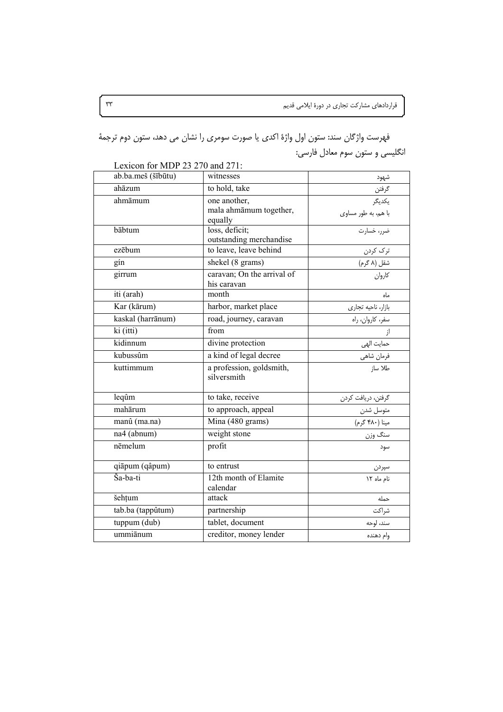فهرست واژگان سند: ستون اول واژهٔ اکدی یا صورت سومری را نشان می دهد، ستون دوم ترجمهٔ انگلیسی و ستون سوم معادل فارسی:

| ab.ba.meš (šībūtu) | witnesses                                         | شهود                          |
|--------------------|---------------------------------------------------|-------------------------------|
| ahāzum             | to hold, take                                     | گرفتن<br>يكديگر               |
| ahmāmum            | one another,<br>mala ahmāmum together,<br>equally | با هم، به طور مساوى           |
| bābtum             | loss, deficit;<br>outstanding merchandise         | ضرر، خسارت                    |
| ezēbum             | to leave, leave behind                            | ترک کردن                      |
| gín                | shekel (8 grams)                                  | شقل (۸ گرم)                   |
| girrum             | caravan; On the arrival of<br>his caravan         | كاروان                        |
| iti (arah)         | month                                             | ماه                           |
| Kar (kārum)        | harbor, market place                              | بازار، ناحيه تجارى            |
| kaskal (harrānum)  | road, journey, caravan                            | سفر، کاروان، راه              |
| ki (itti)          | from                                              |                               |
| kidinnum           | divine protection                                 | حمايت الهي                    |
| kubussûm           | a kind of legal decree                            | فرمان شاهي                    |
| kuttimmum          | a profession, goldsmith,<br>silversmith           | طلا ساز                       |
| leqûm              | to take, receive                                  | گرفتن، دريافت كردن            |
| mahārum            | to approach, appeal                               |                               |
| manû (ma.na)       | Mina (480 grams)                                  | متوسل شدن _<br>مینا (۴۸۰ گرم) |
| na4 (abnum)        | weight stone                                      | سنگ وزن                       |
| nēmelum            | profit                                            | سود                           |
| qiāpum (qâpum)     | to entrust                                        | سپردن                         |
| Ša-ba-ti           | 12th month of Elamite<br>calendar                 | نام ماه ١٢                    |
| šehțum             | attack                                            | حمله                          |
| tab.ba (tappûtum)  | partnership                                       | شراكت                         |
| tuppum (dub)       | tablet, document                                  | سند، لوحه                     |
| ummiānum           | creditor, money lender                            | وام دهنده                     |

Lexicon for MDP 23 270 and 271:

 $\tau\tau$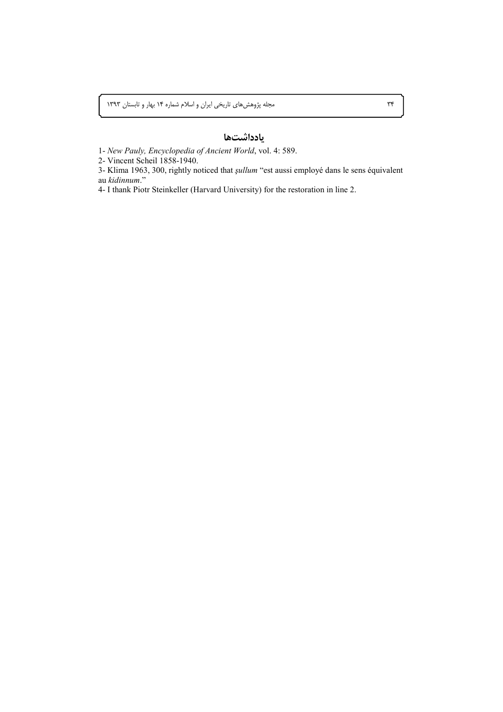## يادداشتها

1- New Pauly, Encyclopedia of Ancient World, vol. 4: 589.

2- Vincent Scheil 1858-1940.

3- Klima 1963, 300, rightly noticed that *şullum* "est aussi employé dans le sens équivalent au kidinnum."

4- I thank Piotr Steinkeller (Harvard University) for the restoration in line 2.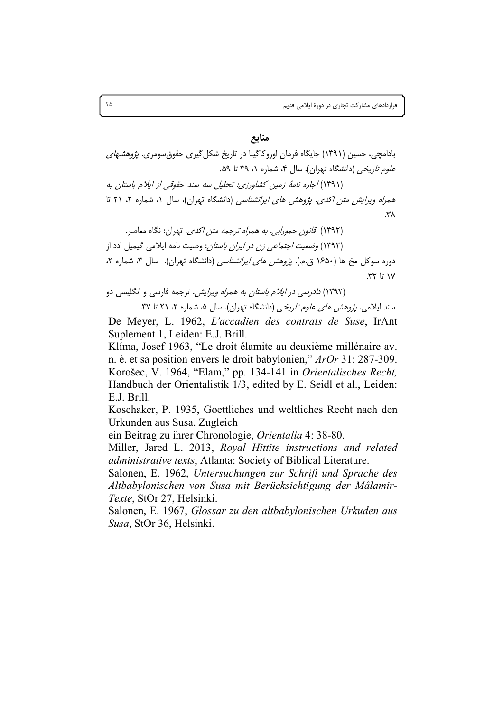منابع

بادامچی، حسین (۱۳۹۱) جایگاه فرمان اوروکاگینا در تاریخ شکل گیری حقوق سومری. *پژوهشهای* علوم تاریخی (دانشگاه تهران). سال ۴، شماره ۱، ۳۹ تا ۵۹. همر*اه ویرایش متن اکدی. پژوهش های ایرانشناسی* (دانشگاه تهران)، سال ۱، شماره ۲، ۲۱ تا ۳۸.

دوره سوکل مخ ها (۱۶۵۰ ق.م.). *پژوهش های ایرانشناسی* (دانشگاه تهران). سال ۳، شماره ۲،  $rr$  1;  $\vee$ 

\_\_ (١٣٩٢) *دادرسي در ايلام باستان به همراه وبرايش .* ترجمه فارسي و انگليسي دو

سند ایلامی. *پژوهش های علوم تاریخی* (دانشگاه تهران). سال ۵، شماره ۲، ۲۱ تا ۳۷. De Meyer, L. 1962, L'accadien des contrats de Suse, IrAnt Suplement 1. Leiden: E.J. Brill.

Klíma, Josef 1963, "Le droit élamite au deuxième millénaire av. n. è. et sa position envers le droit babylonien," ArOr 31: 287-309. Korošec, V. 1964, "Elam," pp. 134-141 in Orientalisches Recht, Handbuch der Orientalistik 1/3, edited by E. Seidl et al., Leiden: E.J. Brill.

Koschaker, P. 1935, Goettliches und weltliches Recht nach den Urkunden aus Susa. Zugleich

ein Beitrag zu ihrer Chronologie, Orientalia 4: 38-80.

Miller, Jared L. 2013, Royal Hittite instructions and related *administrative texts*, Atlanta: Society of Biblical Literature.

Salonen, E. 1962, Untersuchungen zur Schrift und Sprache des Altbabylonischen von Susa mit Berücksichtigung der Mâlamir-Texte, StOr 27, Helsinki.

Salonen, E. 1967, Glossar zu den altbabylonischen Urkuden aus Susa, StOr 36, Helsinki.